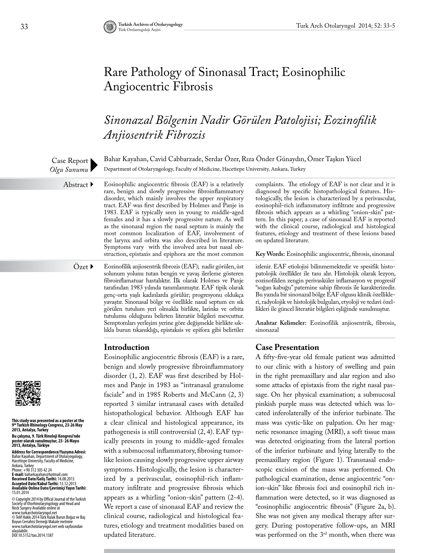# Rare Pathology of Sinonasal Tract; Eosinophilic Angiocentric Fibrosis

## *Sinonazal Bölgenin Nadir Görülen Patolojisi; Eozinofilik Anjiosentrik Fibrozis*

Bahar Kayahan, Cavid Cabbarzade, Serdar Özer, Rıza Önder Günaydın, Ömer Taşkın Yücel Department of Otolaryngology, Faculty of Medicine, Hacettepe University, Ankara, Turkey

Eosinophilic angiocentric fibrosis (EAF) is a relatively rare, benign and slowly progressive fibroinflammatory disorder, which mainly involves the upper respiratory tract. EAF was first described by Holmes and Panje in 1983. EAF is typically seen in young to middle-aged females and it has a slowly progressive nature. As well as the sinonasal region the nasal septum is mainly the most common localization of EAF, involvement of the larynx and orbita was also described in literature. Symptoms vary with the involved area but nasal obstruction, epistaxis and epiphora are the most common

Özet ▶

Case Report *Olgu Sunumu*

Abstract  $\blacktriangleright$ 

Eozinofilik anjiosentrik fibrozis (EAF); nadir görülen, üst solunum yolunu tutan bengin ve yavaş ilerleme gösteren fibroinflamatuar hastalıktır. İlk olarak Holmes ve Panje tarafından 1983 yılında tanımlanmıştır. EAF tipik olarak genç-orta yaşlı kadınlarda görülür; progresyonu oldukça yavaştır. Sinonasal bölge ve özellikle nasal septum en sık görülen tutulum yeri olmakla birlikte, larinks ve orbita tutulumu olduğunu belirten literatür bilgileri mevcuttur. Semptomları yerleşim yerine göre değişmekle birlikte sıklıkla burun tıkanıklığı, epistaksis ve epifora gibi belirtiler

## **Introduction**

Eosinophilic angiocentric fibrosis (EAF) is a rare, benign and slowly progressive fibroinflammatory disorder (1, 2). EAF was first described by Holmes and Panje in 1983 as "intranasal granulome faciale" and in 1985 Roberts and McCann (2, 3) reported 3 similar intranasal cases with detailed histopathological behavior. Although EAF has a clear clinical and histological appearance, its pathogenesis is still controversial (2, 4). EAF typically presents in young to middle-aged females with a submucosal inflammatory, fibrosing tumorlike lesion causing slowly progressive upper airway symptoms. Histologically, the lesion is characterized by a perivascular, eosinophil-rich inflammatory infiltrate and progressive fibrosis which appears as a whirling "onion-skin" pattern (2-4). We report a case of sinonasal EAF and review the clinical course, radiological and histological features, etiology and treatment modalities based on updated literature.

complaints. The etiology of EAF is not clear and it is diagnosed by specific histopathological features. Histologically, the lesion is characterized by a perivascular, eosinophil-rich inflammatory infiltrate and progressive fibrosis which appears as a whirling "onion-skin" pattern. In this paper; a case of sinonasal EAF is reported with the clinical course, radiological and histological features, etiology and treatment of these lesions based on updated literature.

**Key Words:** Eosinophilic angiocentric, fibrosis, sinonasal

izlenir. EAF etiolojisi bilinmemektedir ve spesifik histopatolojik özellikler ile tanı alır. Histolojik olarak lezyon, eozinofilden zengin perivasküler inflamasyon ve progresif "soğan kabuğu" paternine sahip fibrozis ile karakterizedir. Bu yazıda bir sinonazal bölge EAF olgusu klinik özellikleri, radyolojik ve histolojik bulguları, etyoloji ve tedavi özellikleri ile güncel literatür bilgileri eşliğinde sunulmuştur.

**Anahtar Kelimeler:** Eozinofilik anjiosentrik, fibrosis, sinonazal

#### **Case Presentation**

A fifty-five-year old female patient was admitted to our clinic with a history of swelling and pain in the right premaxillary and alar region and also some attacks of epistaxis from the right nasal passage. On her physical examination; a submucosal pinkish purple mass was detected which was located inferolaterally of the inferior turbinate. The mass was cystic-like on palpation. On her magnetic resonance imaging (MRI), a soft tissue mass was detected originating from the lateral portion of the inferior turbinate and lying laterally to the premaxillary region (Figure 1). Transnasal endoscopic excision of the mass was performed. On pathological examination, dense angiocentric "onion-skin" like fibrosis foci and eosinophil rich inflammation were detected, so it was diagnosed as "eosinophilic angiocentric fibrosis" (Figure 2a, b). She was not given any medical therapy after surgery. During postoperative follow-ups, an MRI was performed on the 3rd month, when there was



**This study was presented as a poster at the 9th Turkish Rhinology Congress, 23-26 May 2013, Antalya, Turkey**

**Bu çalışma, 9. Türk Rinoloji Kongresi'nde poster olarak sunulmuştur, 23- 26 Mayıs 2013, Antalya, Türkiye**

**Address for Correspondence/Yazışma Adresi:**  Bahar Kayahan, Department of Otolaryngology, Hacettepe University, Faculty of Medicine,

Ankara, Turkey Phone: +90 312 305 42 24 **E-mail:** baharkayahan@hotmail.com **Received Date/Geliş Tarihi:** 14.08.2013 **Accepted Date/Kabul Tarihi:** 13.12.2013 **Available Online Date/Çevrimiçi Yayın Tarihi:**  15.01.2014

© Copyright 2014 by Offical Journal of the Turkish<br>Society of Otorhinolaryngology and Head and<br>Neck Surgery Available online at<br>www.turkarchotolaryngol.net © Telif Hakkı 2014 Türk Kulak Burun Boğaz ve Baş Boyun Cerrahisi Derneği Makale metnine www.turkarchotolaryngol.net web sayfasından ulaşılabilir. DOI:10.5152/tao.2014.1387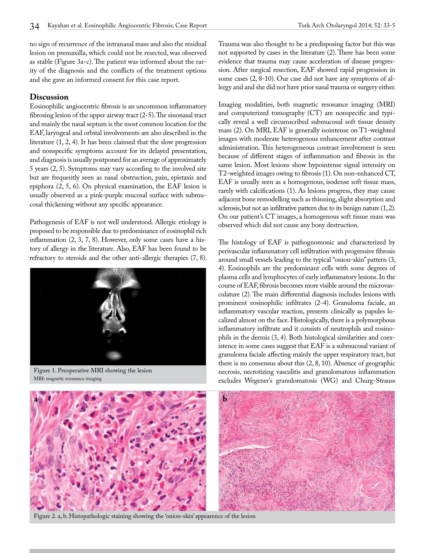no sign of recurrence of the intranasal mass and also the residual lesion on premaxilla, which could not be resected, was observed as stable (Figure 3a-c). The patient was informed about the rarity of the diagnosis and the conflicts of the treatment options and she gave an informed consent for this case report.

#### **Discussion**

Eosinophilic angiocentric fibrosis is an uncommon inflammatory fibrosing lesion of the upper airway tract (2-5). The sinonasal tract and mainly the nasal septum is the most common location for the EAF, laryngeal and orbital involvements are also described in the literature (1, 2, 4). It has been claimed that the slow progression and nonspecific symptoms account for its delayed presentation, and diagnosis is usually postponed for an average of approximately 5 years (2, 5). Symptoms may vary according to the involved site but are frequently seen as nasal obstruction, pain, epistaxis and epiphora (2, 5, 6). On physical examination, the EAF lesion is usually observed as a pink-purple mucosal surface with submucosal thickening without any specific appearance.

Pathogenesis of EAF is not well understood. Allergic etiology is proposed to be responsible due to predominance of eosinophil rich inflammation (2, 3, 7, 8). However, only some cases have a history of allergy in the literature. Also, EAF has been found to be refractory to steroids and the other anti-allergic therapies (7, 8).



Figure 1. Preoperative MRI showing the lesion MRI: magnetic resonance imaging

Trauma was also thought to be a predisposing factor but this was not supported by cases in the literature (2). There has been some evidence that trauma may cause acceleration of disease progression. After surgical resection, EAF showed rapid progression in some cases (2, 8-10). Our case did not have any symptoms of allergy and and she did not have prior nasal trauma or surgery either.

Imaging modalities, both magnetic resonance imaging (MRI) and computerized tomography (CT) are nonspecific and typically reveal a well circumscribed submucosal soft tissue density mass (2). On MRI, EAF is generally isointense on T1-weighted images with moderate heterogenous enhancement after contrast administration. This heterogeneous contrast involvement is seen because of different stages of inflammation and fibrosis in the same lesion. Most lesions show hypointense signal intensity on T2-weighted images owing to fibrosis (1). On non-enhanced CT, EAF is usually seen as a homogenous, isodense soft tissue mass, rarely with calcifications (1). As lesions progress, they may cause adjacent bone remodelling such as thinning, slight absorption and sclerosis, but not an infiltrative pattern due to its benign nature (1, 2). On our patient's CT images, a homogenous soft tissue mass was observed which did not cause any bony destruction.

The histology of EAF is pathognomonic and characterized by perivascular inflammatory cell infiltration with progressive fibrosis around small vessels leading to the typical "onion-skin" pattern (3, 4). Eosinophils are the predominant cells with some degrees of plasma cells and lymphocytes of early inflammatory lesions. In the course of EAF, fibrosis becomes more visible around the microvasculature (2). The main differential diagnosis includes lesions with prominent eosinophilic infiltrates (2-4). Granuloma faciale, an inflammatory vascular reaction, presents clinically as papules localized almost on the face. Histologically, there is a polymorphous inflammatory infiltrate and it consists of neutrophils and eosinophils in the dermis (3, 4). Both histological similarities and coexistence in some cases suggest that EAF is a submucosal variant of granuloma faciale affecting mainly the upper respiratory tract, but there is no consensus about this (2, 8, 10). Absence of geographic necrosis, necrotizing vasculitis and granulomatous inflammation excludes Wegener's granulomatosis (WG) and Churg-Strauss



Figure 2. a, b. Histopathologic staining showing the 'onion-skin' appearence of the lesion